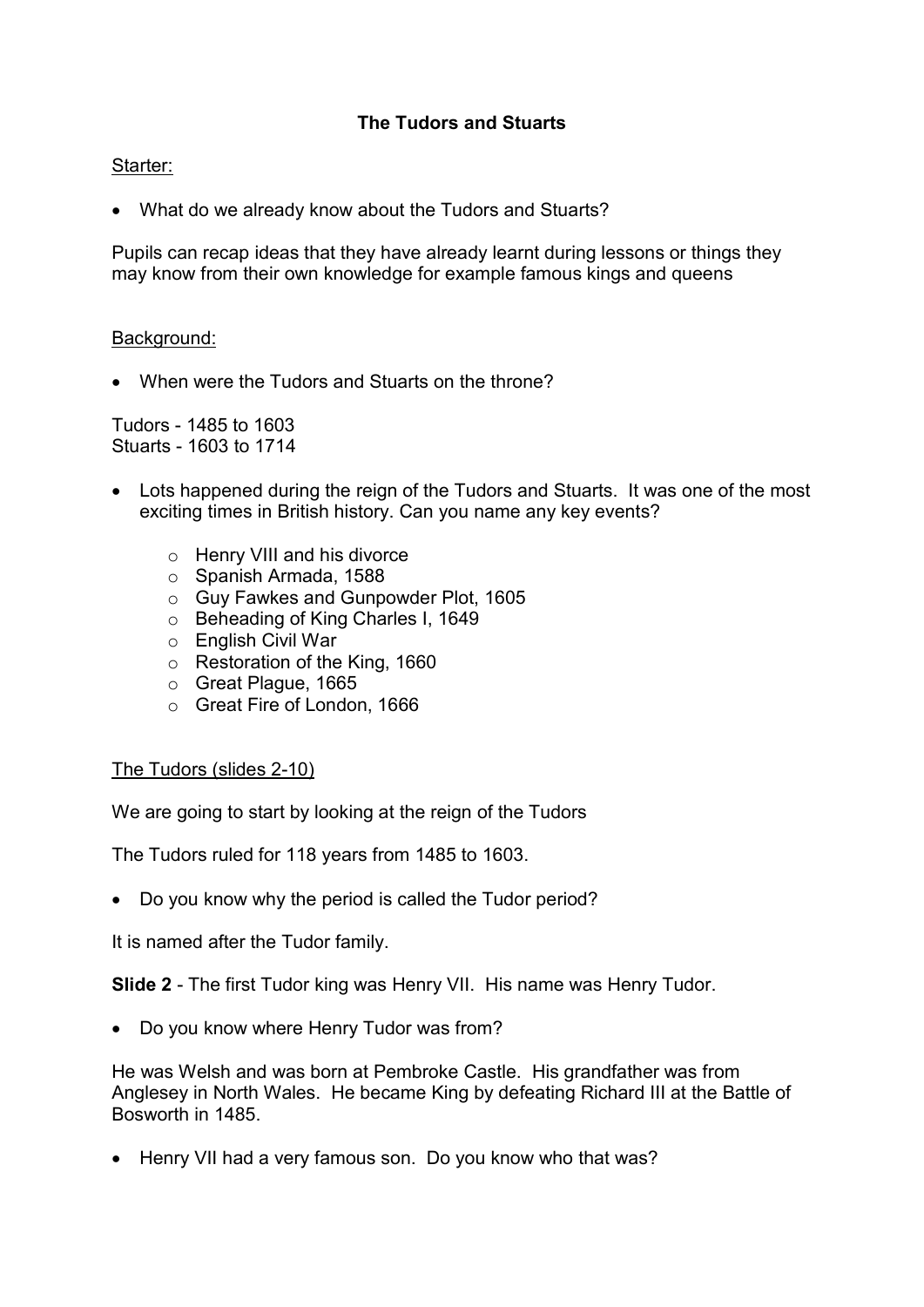# The Tudors and Stuarts

## Starter:

What do we already know about the Tudors and Stuarts?

Pupils can recap ideas that they have already learnt during lessons or things they may know from their own knowledge for example famous kings and queens

## Background:

When were the Tudors and Stuarts on the throne?

Tudors - 1485 to 1603 Stuarts - 1603 to 1714

- Lots happened during the reign of the Tudors and Stuarts. It was one of the most exciting times in British history. Can you name any key events?
	- o Henry VIII and his divorce
	- o Spanish Armada, 1588
	- o Guy Fawkes and Gunpowder Plot, 1605
	- o Beheading of King Charles I, 1649
	- o English Civil War
	- o Restoration of the King, 1660
	- o Great Plague, 1665
	- o Great Fire of London, 1666

## The Tudors (slides 2-10)

We are going to start by looking at the reign of the Tudors

The Tudors ruled for 118 years from 1485 to 1603.

Do you know why the period is called the Tudor period?

It is named after the Tudor family.

Slide 2 - The first Tudor king was Henry VII. His name was Henry Tudor.

• Do you know where Henry Tudor was from?

He was Welsh and was born at Pembroke Castle. His grandfather was from Anglesey in North Wales. He became King by defeating Richard III at the Battle of Bosworth in 1485.

• Henry VII had a very famous son. Do you know who that was?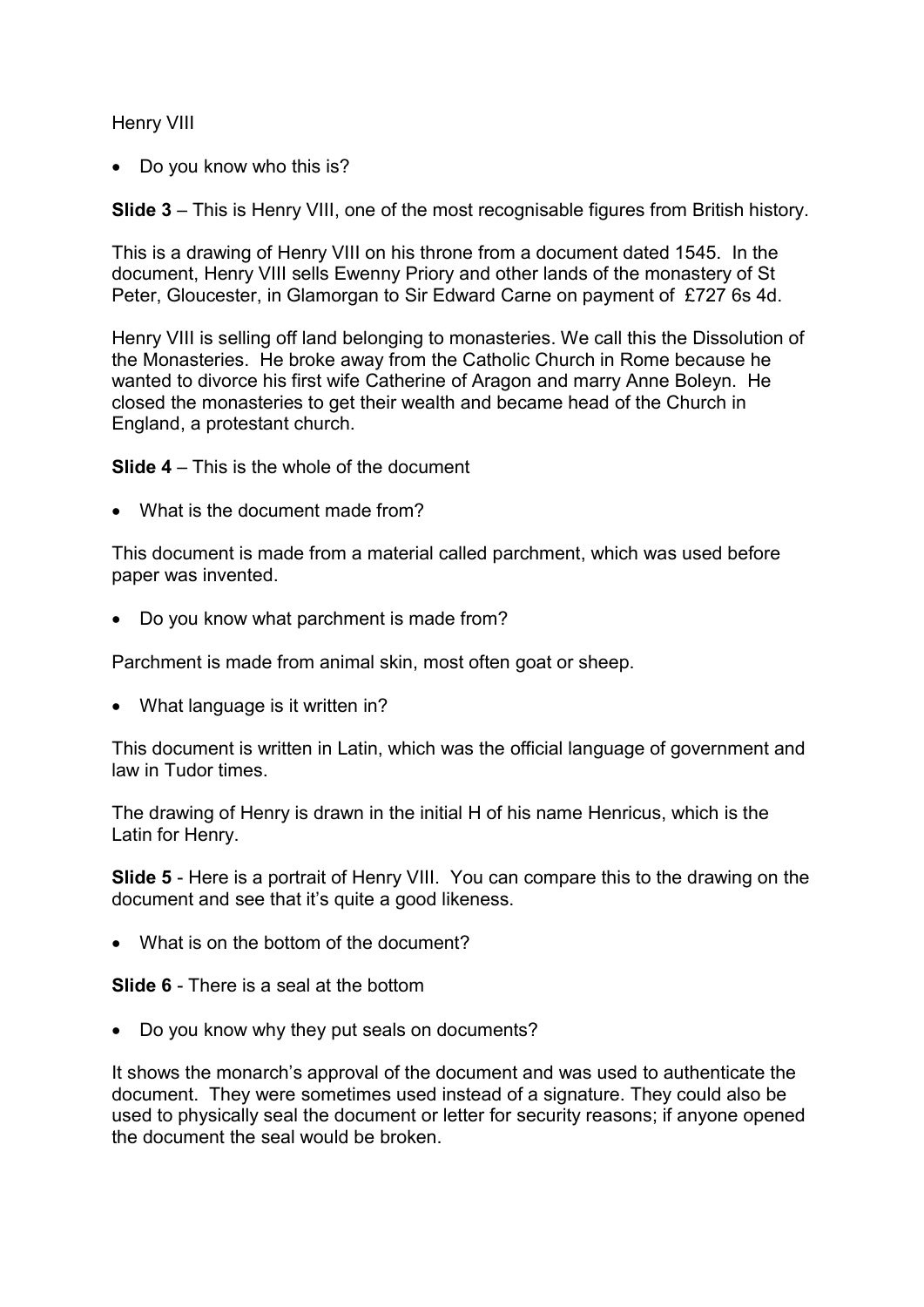## Henry VIII

• Do you know who this is?

Slide 3 – This is Henry VIII, one of the most recognisable figures from British history.

This is a drawing of Henry VIII on his throne from a document dated 1545. In the document, Henry VIII sells Ewenny Priory and other lands of the monastery of St Peter, Gloucester, in Glamorgan to Sir Edward Carne on payment of £727 6s 4d.

Henry VIII is selling off land belonging to monasteries. We call this the Dissolution of the Monasteries. He broke away from the Catholic Church in Rome because he wanted to divorce his first wife Catherine of Aragon and marry Anne Boleyn. He closed the monasteries to get their wealth and became head of the Church in England, a protestant church.

Slide 4 – This is the whole of the document

What is the document made from?

This document is made from a material called parchment, which was used before paper was invented.

• Do you know what parchment is made from?

Parchment is made from animal skin, most often goat or sheep.

• What language is it written in?

This document is written in Latin, which was the official language of government and law in Tudor times.

The drawing of Henry is drawn in the initial H of his name Henricus, which is the Latin for Henry.

Slide 5 - Here is a portrait of Henry VIII. You can compare this to the drawing on the document and see that it's quite a good likeness.

• What is on the bottom of the document?

Slide 6 - There is a seal at the bottom

• Do you know why they put seals on documents?

It shows the monarch's approval of the document and was used to authenticate the document. They were sometimes used instead of a signature. They could also be used to physically seal the document or letter for security reasons; if anyone opened the document the seal would be broken.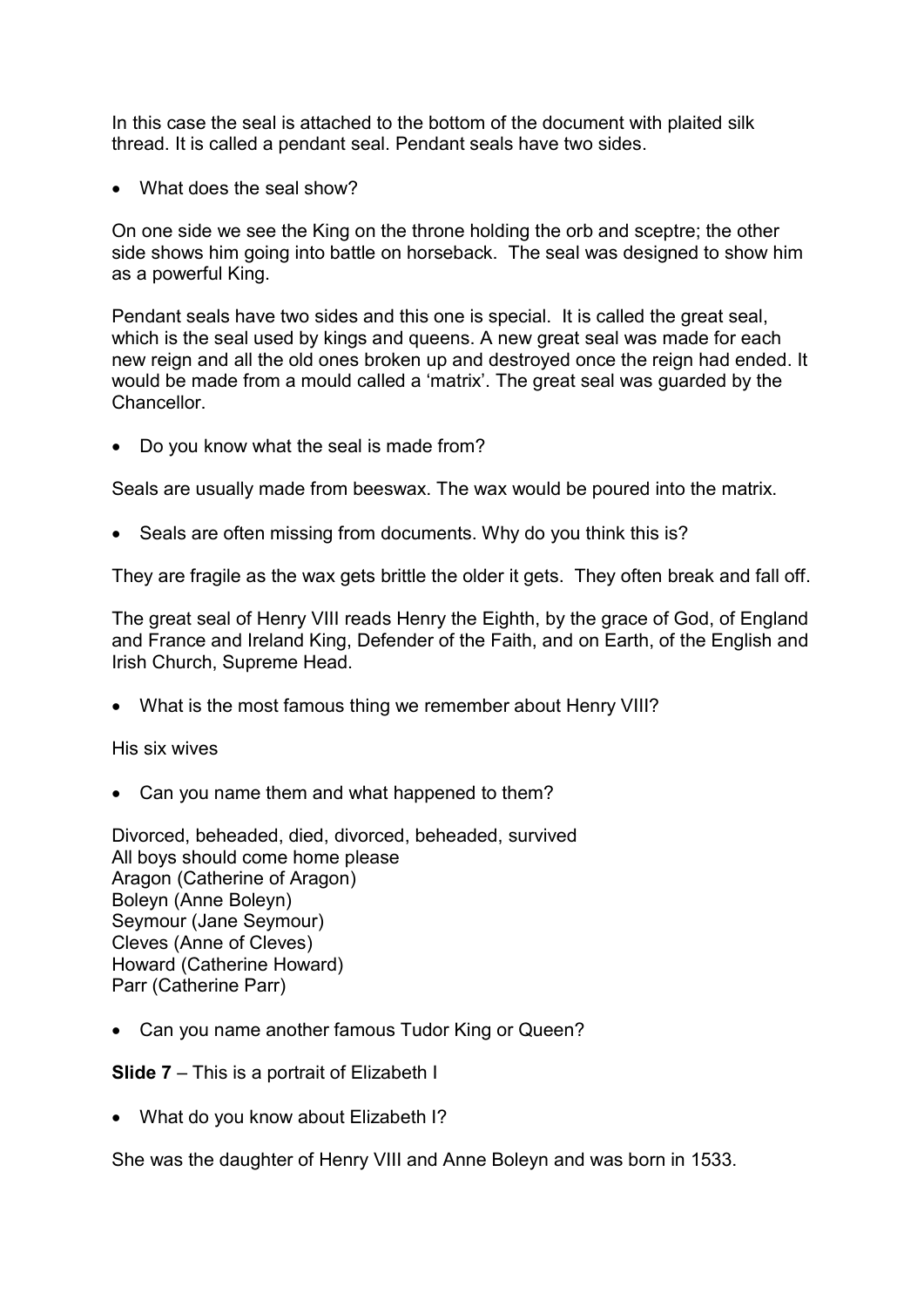In this case the seal is attached to the bottom of the document with plaited silk thread. It is called a pendant seal. Pendant seals have two sides.

What does the seal show?

On one side we see the King on the throne holding the orb and sceptre; the other side shows him going into battle on horseback. The seal was designed to show him as a powerful King.

Pendant seals have two sides and this one is special. It is called the great seal, which is the seal used by kings and queens. A new great seal was made for each new reign and all the old ones broken up and destroyed once the reign had ended. It would be made from a mould called a 'matrix'. The great seal was guarded by the **Chancellor** 

• Do you know what the seal is made from?

Seals are usually made from beeswax. The wax would be poured into the matrix.

• Seals are often missing from documents. Why do you think this is?

They are fragile as the wax gets brittle the older it gets. They often break and fall off.

The great seal of Henry VIII reads Henry the Eighth, by the grace of God, of England and France and Ireland King, Defender of the Faith, and on Earth, of the English and Irish Church, Supreme Head.

What is the most famous thing we remember about Henry VIII?

His six wives

• Can you name them and what happened to them?

Divorced, beheaded, died, divorced, beheaded, survived All boys should come home please Aragon (Catherine of Aragon) Boleyn (Anne Boleyn) Seymour (Jane Seymour) Cleves (Anne of Cleves) Howard (Catherine Howard) Parr (Catherine Parr)

Can you name another famous Tudor King or Queen?

Slide 7 – This is a portrait of Elizabeth I

• What do you know about Elizabeth I?

She was the daughter of Henry VIII and Anne Boleyn and was born in 1533.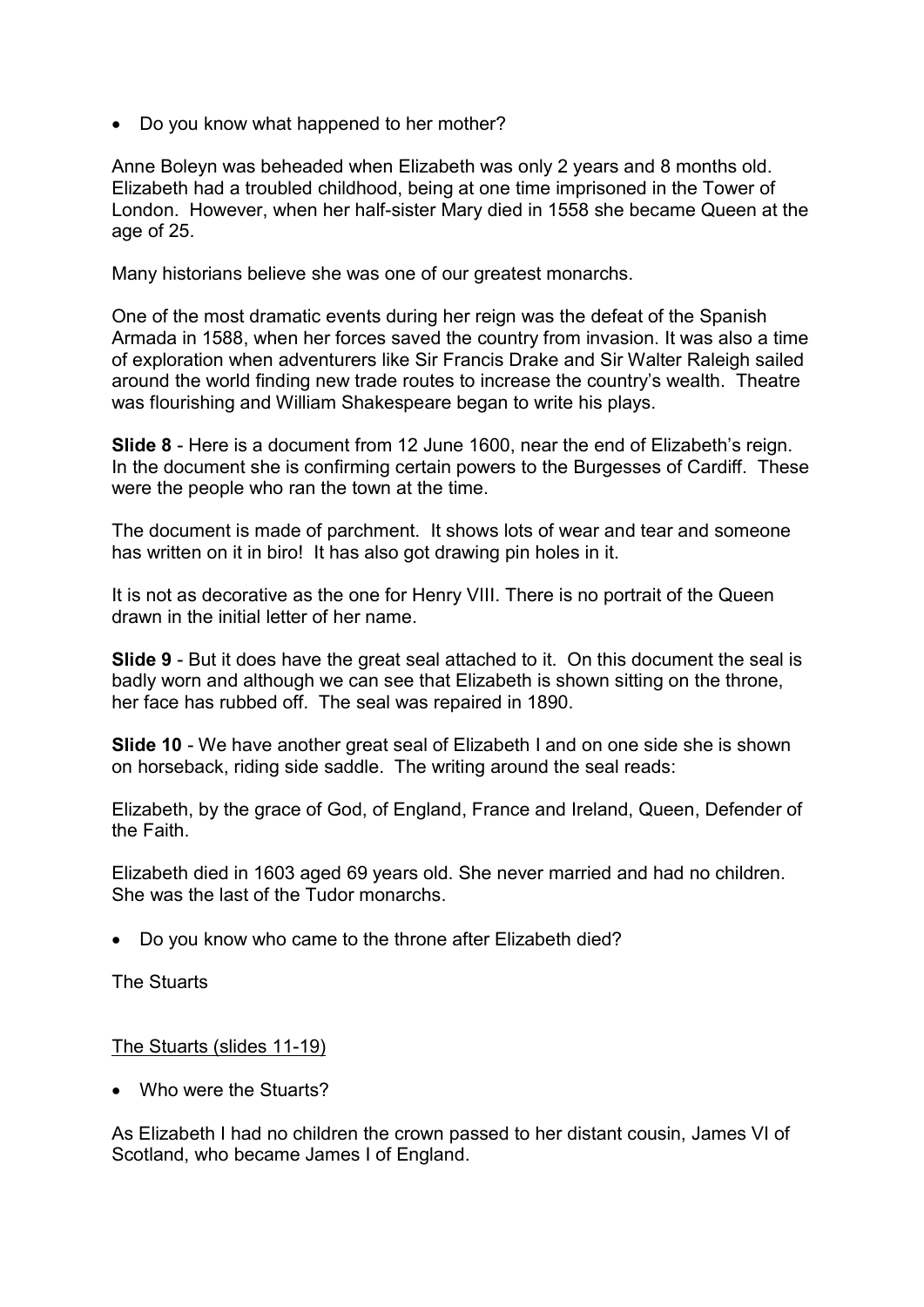• Do you know what happened to her mother?

Anne Boleyn was beheaded when Elizabeth was only 2 years and 8 months old. Elizabeth had a troubled childhood, being at one time imprisoned in the Tower of London. However, when her half-sister Mary died in 1558 she became Queen at the age of 25.

Many historians believe she was one of our greatest monarchs.

One of the most dramatic events during her reign was the defeat of the Spanish Armada in 1588, when her forces saved the country from invasion. It was also a time of exploration when adventurers like Sir Francis Drake and Sir Walter Raleigh sailed around the world finding new trade routes to increase the country's wealth. Theatre was flourishing and William Shakespeare began to write his plays.

Slide 8 - Here is a document from 12 June 1600, near the end of Elizabeth's reign. In the document she is confirming certain powers to the Burgesses of Cardiff. These were the people who ran the town at the time.

The document is made of parchment. It shows lots of wear and tear and someone has written on it in biro! It has also got drawing pin holes in it.

It is not as decorative as the one for Henry VIII. There is no portrait of the Queen drawn in the initial letter of her name.

Slide 9 - But it does have the great seal attached to it. On this document the seal is badly worn and although we can see that Elizabeth is shown sitting on the throne, her face has rubbed off. The seal was repaired in 1890.

Slide 10 - We have another great seal of Elizabeth I and on one side she is shown on horseback, riding side saddle. The writing around the seal reads:

Elizabeth, by the grace of God, of England, France and Ireland, Queen, Defender of the Faith.

Elizabeth died in 1603 aged 69 years old. She never married and had no children. She was the last of the Tudor monarchs.

Do you know who came to the throne after Elizabeth died?

The Stuarts

## The Stuarts (slides 11-19)

• Who were the Stuarts?

As Elizabeth I had no children the crown passed to her distant cousin, James VI of Scotland, who became James I of England.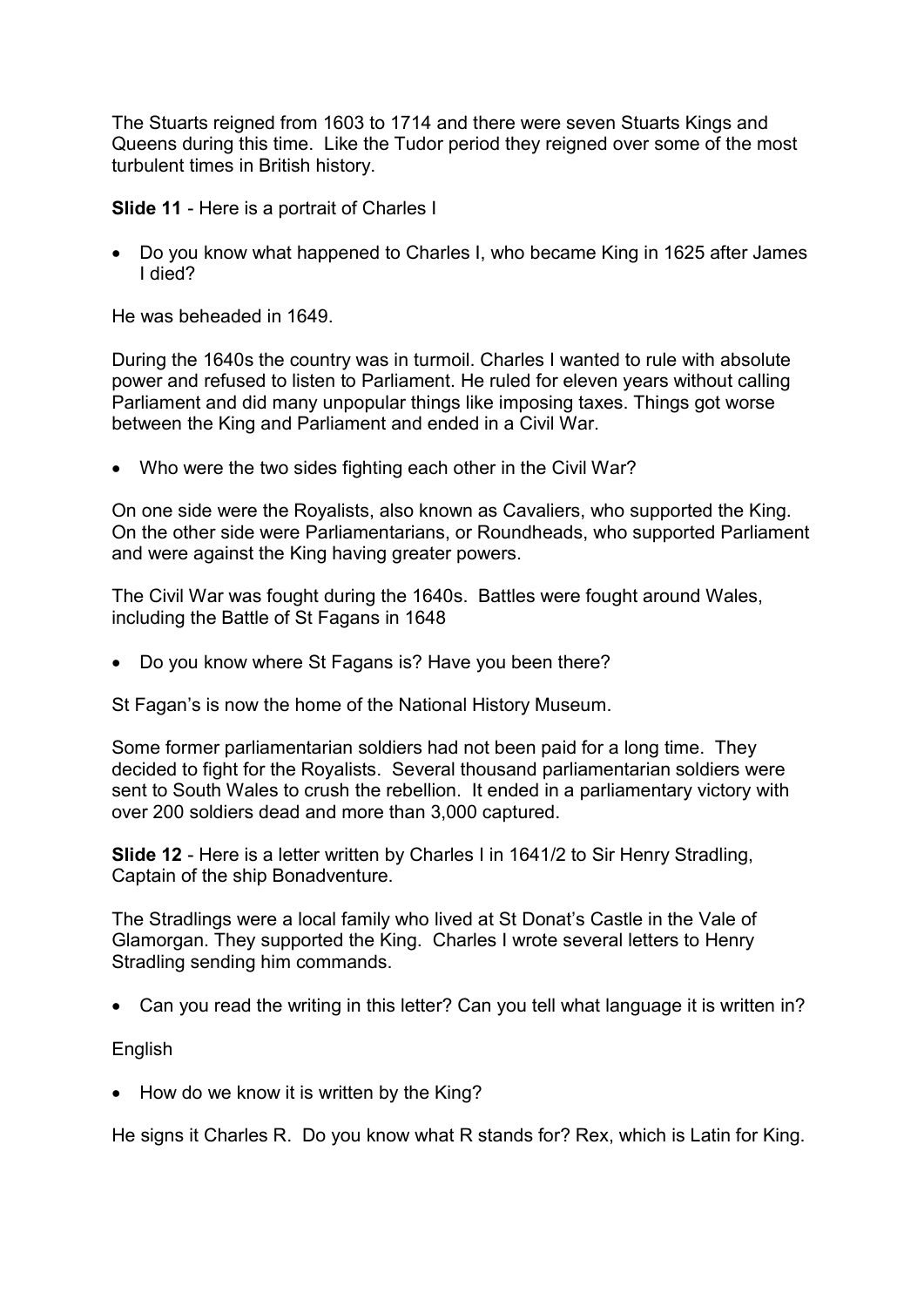The Stuarts reigned from 1603 to 1714 and there were seven Stuarts Kings and Queens during this time. Like the Tudor period they reigned over some of the most turbulent times in British history.

Slide 11 - Here is a portrait of Charles I

 Do you know what happened to Charles I, who became King in 1625 after James I died?

He was beheaded in 1649.

During the 1640s the country was in turmoil. Charles I wanted to rule with absolute power and refused to listen to Parliament. He ruled for eleven years without calling Parliament and did many unpopular things like imposing taxes. Things got worse between the King and Parliament and ended in a Civil War.

• Who were the two sides fighting each other in the Civil War?

On one side were the Royalists, also known as Cavaliers, who supported the King. On the other side were Parliamentarians, or Roundheads, who supported Parliament and were against the King having greater powers.

The Civil War was fought during the 1640s. Battles were fought around Wales, including the Battle of St Fagans in 1648

• Do you know where St Fagans is? Have you been there?

St Fagan's is now the home of the National History Museum.

Some former parliamentarian soldiers had not been paid for a long time. They decided to fight for the Royalists. Several thousand parliamentarian soldiers were sent to South Wales to crush the rebellion. It ended in a parliamentary victory with over 200 soldiers dead and more than 3,000 captured.

Slide 12 - Here is a letter written by Charles I in 1641/2 to Sir Henry Stradling, Captain of the ship Bonadventure.

The Stradlings were a local family who lived at St Donat's Castle in the Vale of Glamorgan. They supported the King. Charles I wrote several letters to Henry Stradling sending him commands.

Can you read the writing in this letter? Can you tell what language it is written in?

English

• How do we know it is written by the King?

He signs it Charles R. Do you know what R stands for? Rex, which is Latin for King.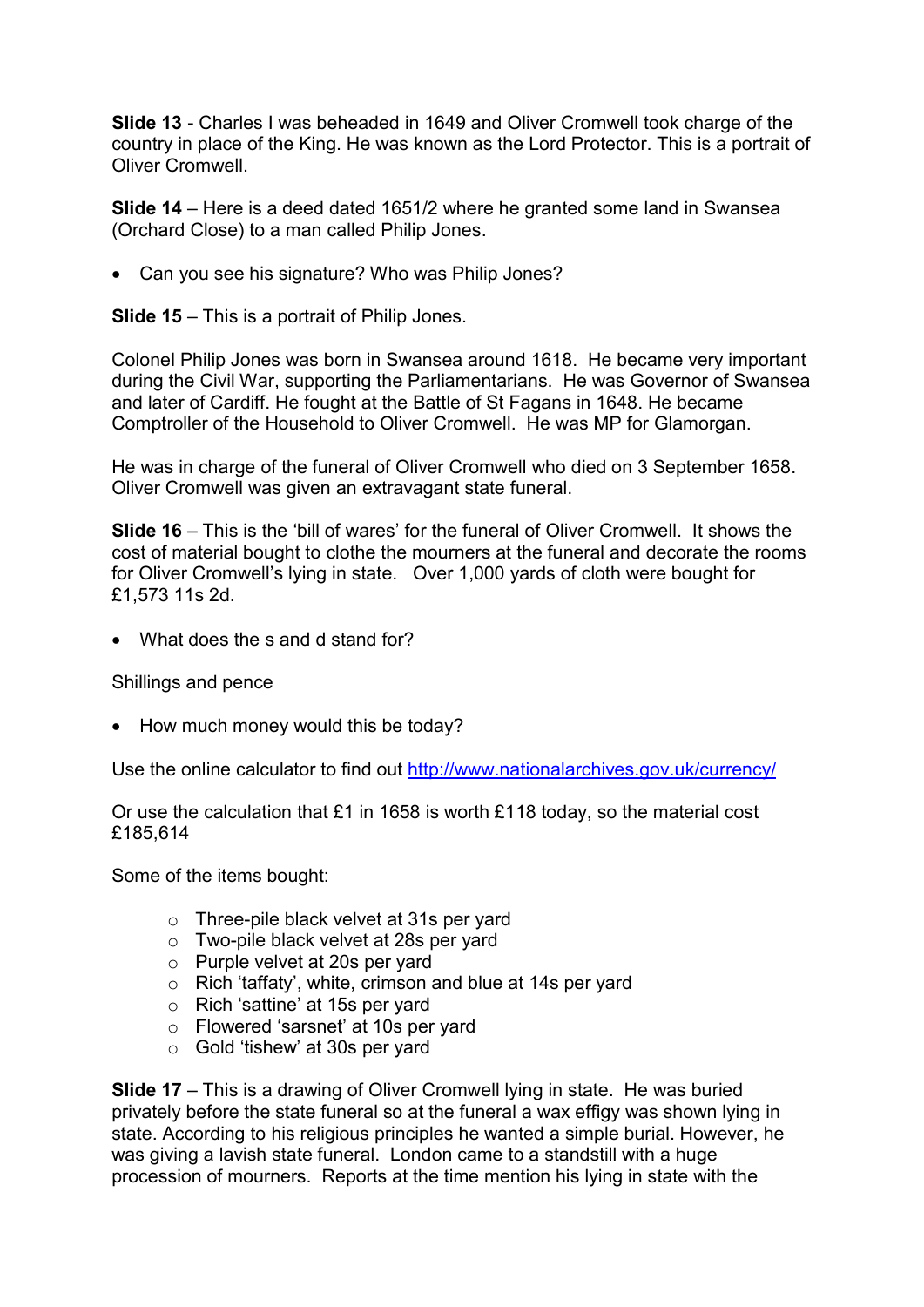Slide 13 - Charles I was beheaded in 1649 and Oliver Cromwell took charge of the country in place of the King. He was known as the Lord Protector. This is a portrait of Oliver Cromwell.

Slide 14 – Here is a deed dated 1651/2 where he granted some land in Swansea (Orchard Close) to a man called Philip Jones.

Can you see his signature? Who was Philip Jones?

Slide 15 – This is a portrait of Philip Jones.

Colonel Philip Jones was born in Swansea around 1618. He became very important during the Civil War, supporting the Parliamentarians. He was Governor of Swansea and later of Cardiff. He fought at the Battle of St Fagans in 1648. He became Comptroller of the Household to Oliver Cromwell. He was MP for Glamorgan.

He was in charge of the funeral of Oliver Cromwell who died on 3 September 1658. Oliver Cromwell was given an extravagant state funeral.

Slide 16 – This is the 'bill of wares' for the funeral of Oliver Cromwell. It shows the cost of material bought to clothe the mourners at the funeral and decorate the rooms for Oliver Cromwell's lying in state. Over 1,000 yards of cloth were bought for £1,573 11s 2d.

• What does the s and d stand for?

Shillings and pence

• How much money would this be today?

Use the online calculator to find out http://www.nationalarchives.gov.uk/currency/

Or use the calculation that £1 in 1658 is worth £118 today, so the material cost £185,614

Some of the items bought:

- o Three-pile black velvet at 31s per yard
- o Two-pile black velvet at 28s per yard
- o Purple velvet at 20s per yard
- o Rich 'taffaty', white, crimson and blue at 14s per yard
- o Rich 'sattine' at 15s per yard
- o Flowered 'sarsnet' at 10s per yard
- o Gold 'tishew' at 30s per yard

Slide 17 – This is a drawing of Oliver Cromwell lying in state. He was buried privately before the state funeral so at the funeral a wax effigy was shown lying in state. According to his religious principles he wanted a simple burial. However, he was giving a lavish state funeral. London came to a standstill with a huge procession of mourners. Reports at the time mention his lying in state with the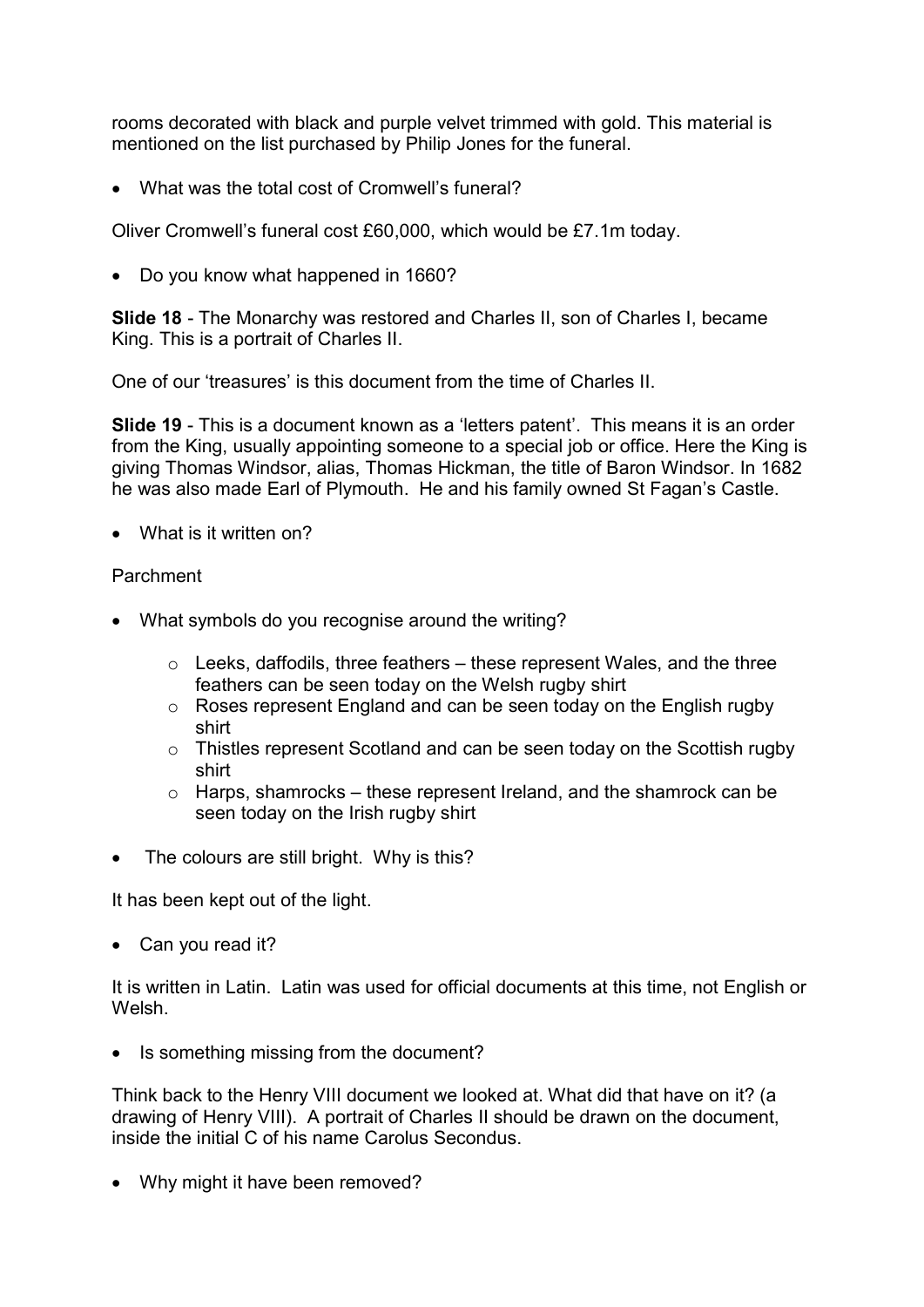rooms decorated with black and purple velvet trimmed with gold. This material is mentioned on the list purchased by Philip Jones for the funeral.

What was the total cost of Cromwell's funeral?

Oliver Cromwell's funeral cost £60,000, which would be £7.1m today.

• Do you know what happened in 1660?

Slide 18 - The Monarchy was restored and Charles II, son of Charles I, became King. This is a portrait of Charles II.

One of our 'treasures' is this document from the time of Charles II.

Slide 19 - This is a document known as a 'letters patent'. This means it is an order from the King, usually appointing someone to a special job or office. Here the King is giving Thomas Windsor, alias, Thomas Hickman, the title of Baron Windsor. In 1682 he was also made Earl of Plymouth. He and his family owned St Fagan's Castle.

What is it written on?

## Parchment

- What symbols do you recognise around the writing?
	- $\circ$  Leeks, daffodils, three feathers these represent Wales, and the three feathers can be seen today on the Welsh rugby shirt
	- o Roses represent England and can be seen today on the English rugby shirt
	- $\circ$  Thistles represent Scotland and can be seen today on the Scottish rugby shirt
	- $\circ$  Harps, shamrocks these represent Ireland, and the shamrock can be seen today on the Irish rugby shirt
- The colours are still bright. Why is this?

It has been kept out of the light.

• Can you read it?

It is written in Latin. Latin was used for official documents at this time, not English or Welsh.

• Is something missing from the document?

Think back to the Henry VIII document we looked at. What did that have on it? (a drawing of Henry VIII). A portrait of Charles II should be drawn on the document, inside the initial C of his name Carolus Secondus.

• Why might it have been removed?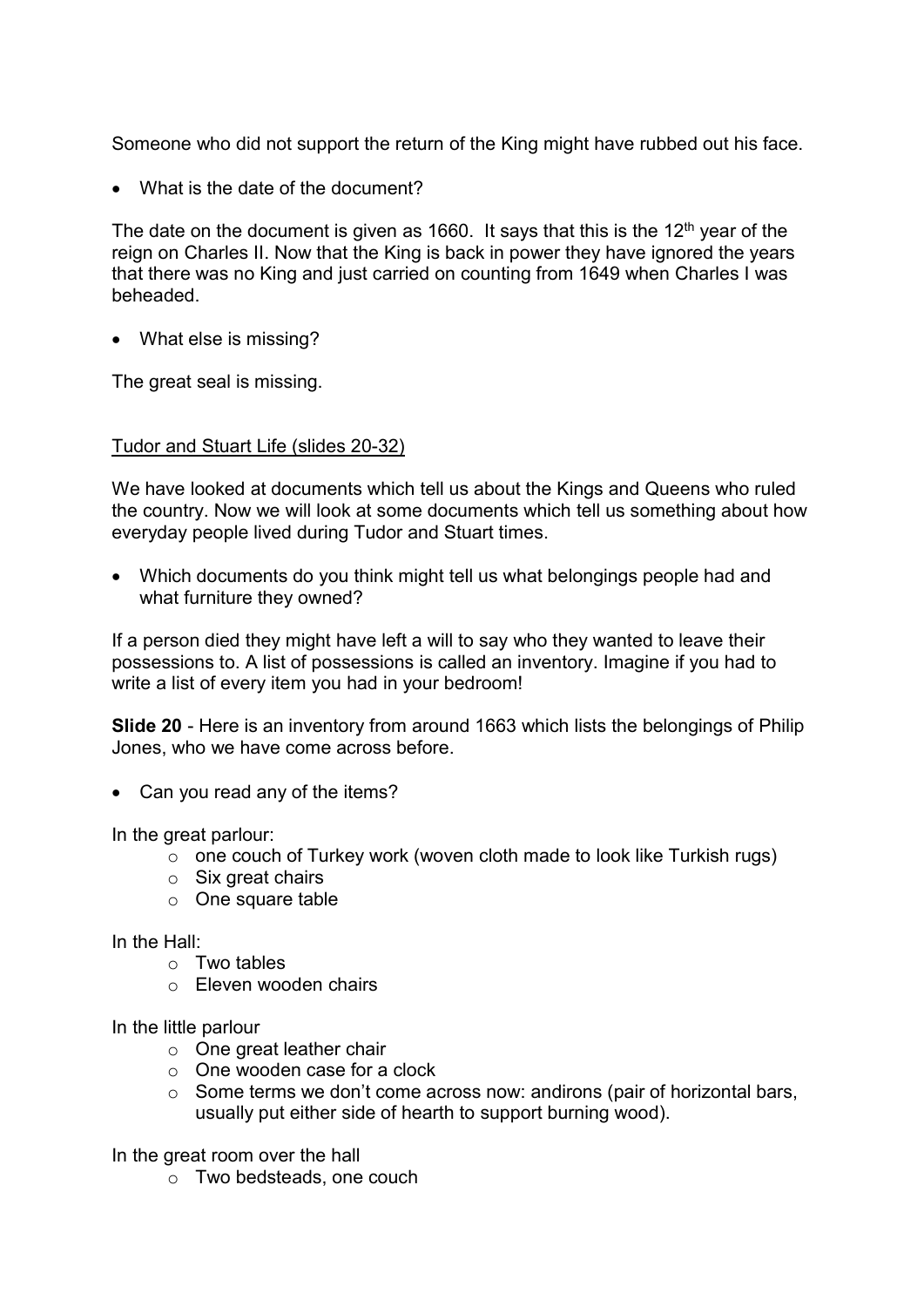Someone who did not support the return of the King might have rubbed out his face.

What is the date of the document?

The date on the document is given as 1660. It says that this is the 12<sup>th</sup> year of the reign on Charles II. Now that the King is back in power they have ignored the years that there was no King and just carried on counting from 1649 when Charles I was beheaded.

• What else is missing?

The great seal is missing.

## Tudor and Stuart Life (slides 20-32)

We have looked at documents which tell us about the Kings and Queens who ruled the country. Now we will look at some documents which tell us something about how everyday people lived during Tudor and Stuart times.

 Which documents do you think might tell us what belongings people had and what furniture they owned?

If a person died they might have left a will to say who they wanted to leave their possessions to. A list of possessions is called an inventory. Imagine if you had to write a list of every item you had in your bedroom!

Slide 20 - Here is an inventory from around 1663 which lists the belongings of Philip Jones, who we have come across before.

• Can you read any of the items?

In the great parlour:

- o one couch of Turkey work (woven cloth made to look like Turkish rugs)
- $\circ$  Six great chairs
- o One square table

In the Hall:

- o Two tables
- o Eleven wooden chairs

In the little parlour

- o One great leather chair
- o One wooden case for a clock
- o Some terms we don't come across now: andirons (pair of horizontal bars, usually put either side of hearth to support burning wood).

In the great room over the hall

o Two bedsteads, one couch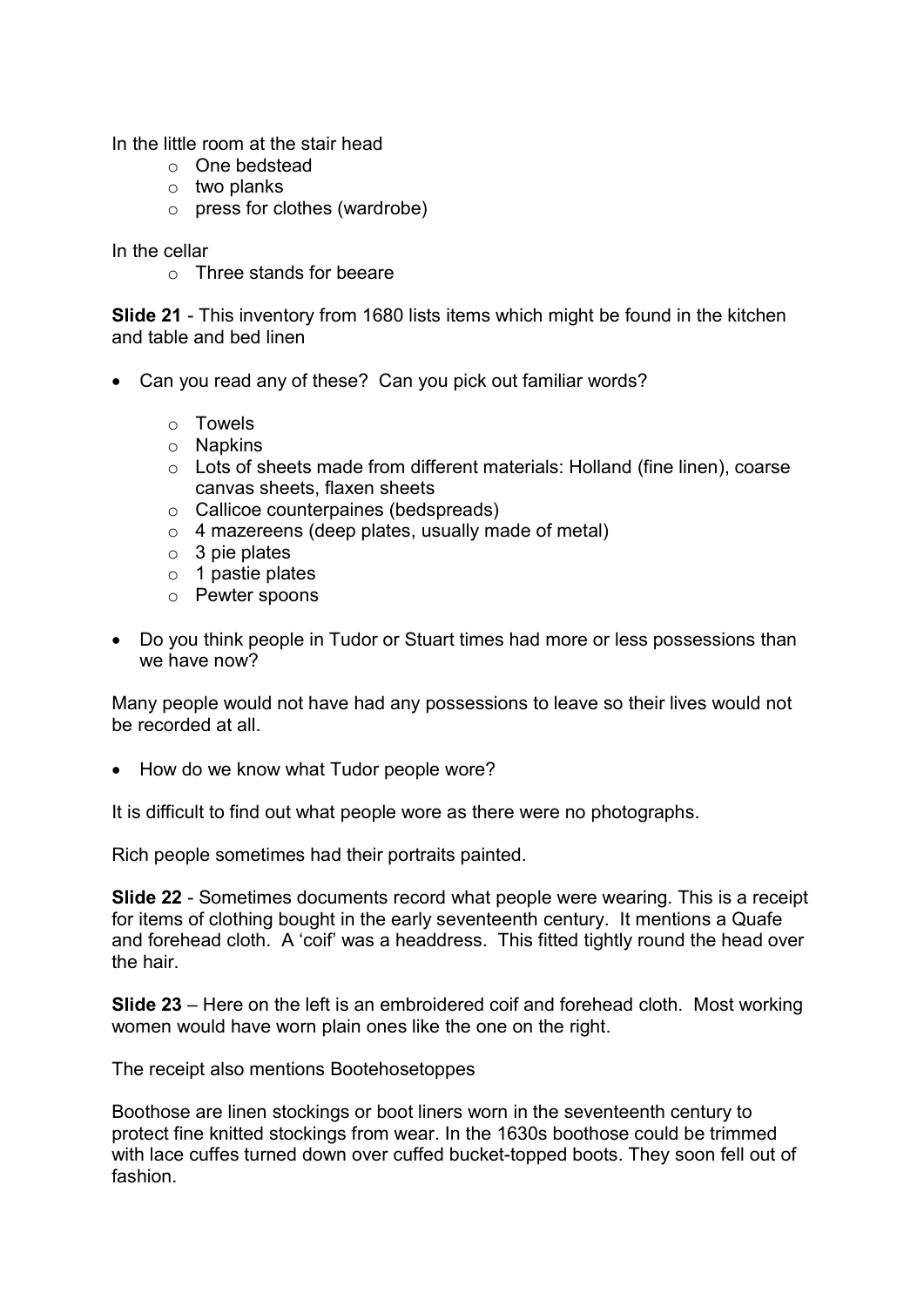In the little room at the stair head

- o One bedstead
- o two planks
- o press for clothes (wardrobe)

In the cellar

o Three stands for beeare

Slide 21 - This inventory from 1680 lists items which might be found in the kitchen and table and bed linen

- Can you read any of these? Can you pick out familiar words?
	- o Towels
	- o Napkins
	- o Lots of sheets made from different materials: Holland (fine linen), coarse canvas sheets, flaxen sheets
	- o Callicoe counterpaines (bedspreads)
	- o 4 mazereens (deep plates, usually made of metal)
	- o 3 pie plates
	- o 1 pastie plates
	- o Pewter spoons
- Do you think people in Tudor or Stuart times had more or less possessions than we have now?

Many people would not have had any possessions to leave so their lives would not be recorded at all.

• How do we know what Tudor people wore?

It is difficult to find out what people wore as there were no photographs.

Rich people sometimes had their portraits painted.

Slide 22 - Sometimes documents record what people were wearing. This is a receipt for items of clothing bought in the early seventeenth century. It mentions a Quafe and forehead cloth. A 'coif' was a headdress. This fitted tightly round the head over the hair.

Slide 23 – Here on the left is an embroidered coif and forehead cloth. Most working women would have worn plain ones like the one on the right.

The receipt also mentions Bootehosetoppes

Boothose are linen stockings or boot liners worn in the seventeenth century to protect fine knitted stockings from wear. In the 1630s boothose could be trimmed with lace cuffes turned down over cuffed bucket-topped boots. They soon fell out of fashion.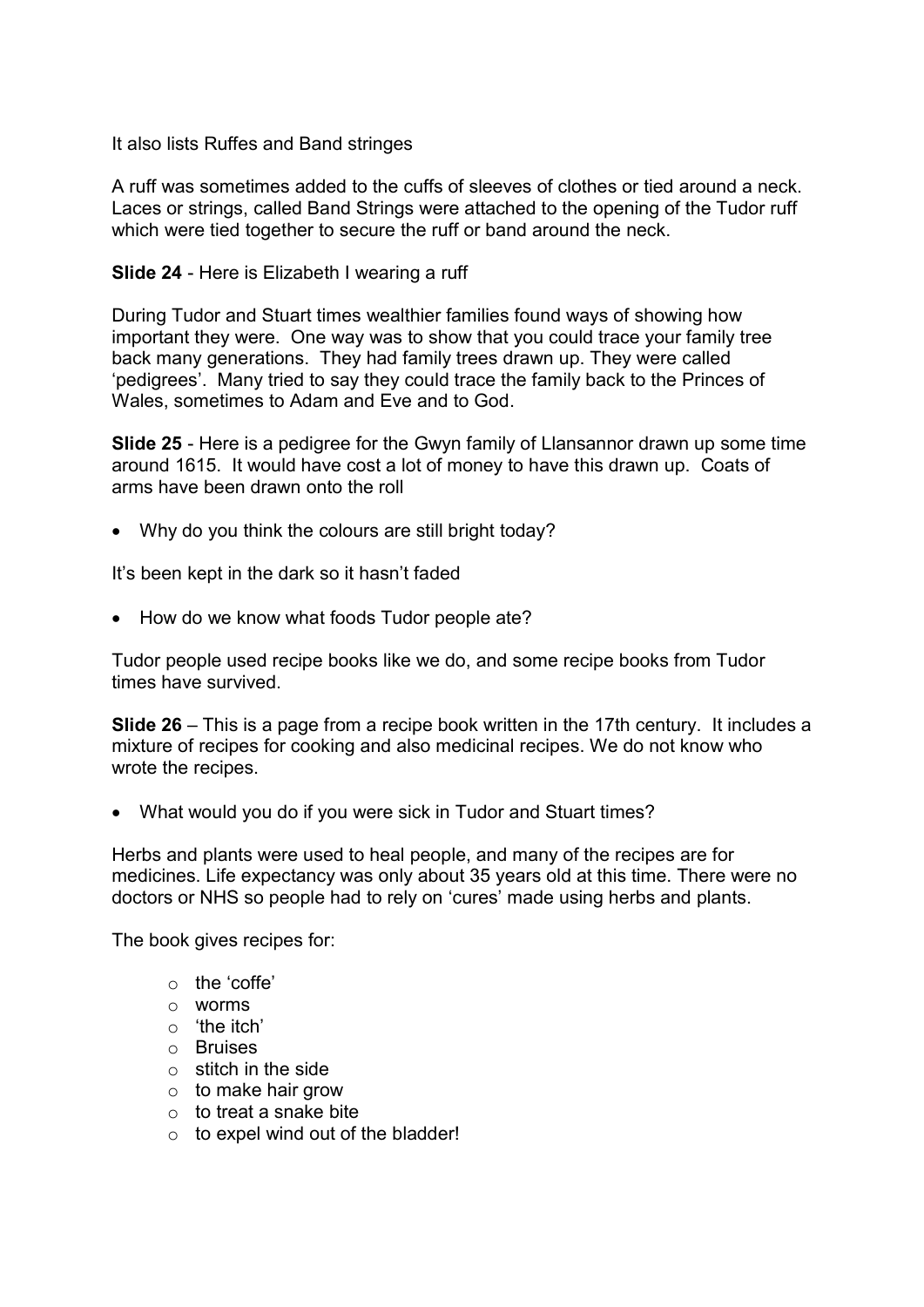It also lists Ruffes and Band stringes

A ruff was sometimes added to the cuffs of sleeves of clothes or tied around a neck. Laces or strings, called Band Strings were attached to the opening of the Tudor ruff which were tied together to secure the ruff or band around the neck.

### Slide 24 - Here is Elizabeth I wearing a ruff

During Tudor and Stuart times wealthier families found ways of showing how important they were. One way was to show that you could trace your family tree back many generations. They had family trees drawn up. They were called 'pedigrees'. Many tried to say they could trace the family back to the Princes of Wales, sometimes to Adam and Eve and to God.

Slide 25 - Here is a pedigree for the Gwyn family of Llansannor drawn up some time around 1615. It would have cost a lot of money to have this drawn up. Coats of arms have been drawn onto the roll

Why do you think the colours are still bright today?

It's been kept in the dark so it hasn't faded

• How do we know what foods Tudor people ate?

Tudor people used recipe books like we do, and some recipe books from Tudor times have survived.

Slide 26 – This is a page from a recipe book written in the 17th century. It includes a mixture of recipes for cooking and also medicinal recipes. We do not know who wrote the recipes.

What would you do if you were sick in Tudor and Stuart times?

Herbs and plants were used to heal people, and many of the recipes are for medicines. Life expectancy was only about 35 years old at this time. There were no doctors or NHS so people had to rely on 'cures' made using herbs and plants.

The book gives recipes for:

- o the 'coffe'
- o worms
- o 'the itch'
- o Bruises
- $\circ$  stitch in the side
- $\circ$  to make hair grow
- $\circ$  to treat a snake bite
- $\circ$  to expel wind out of the bladder!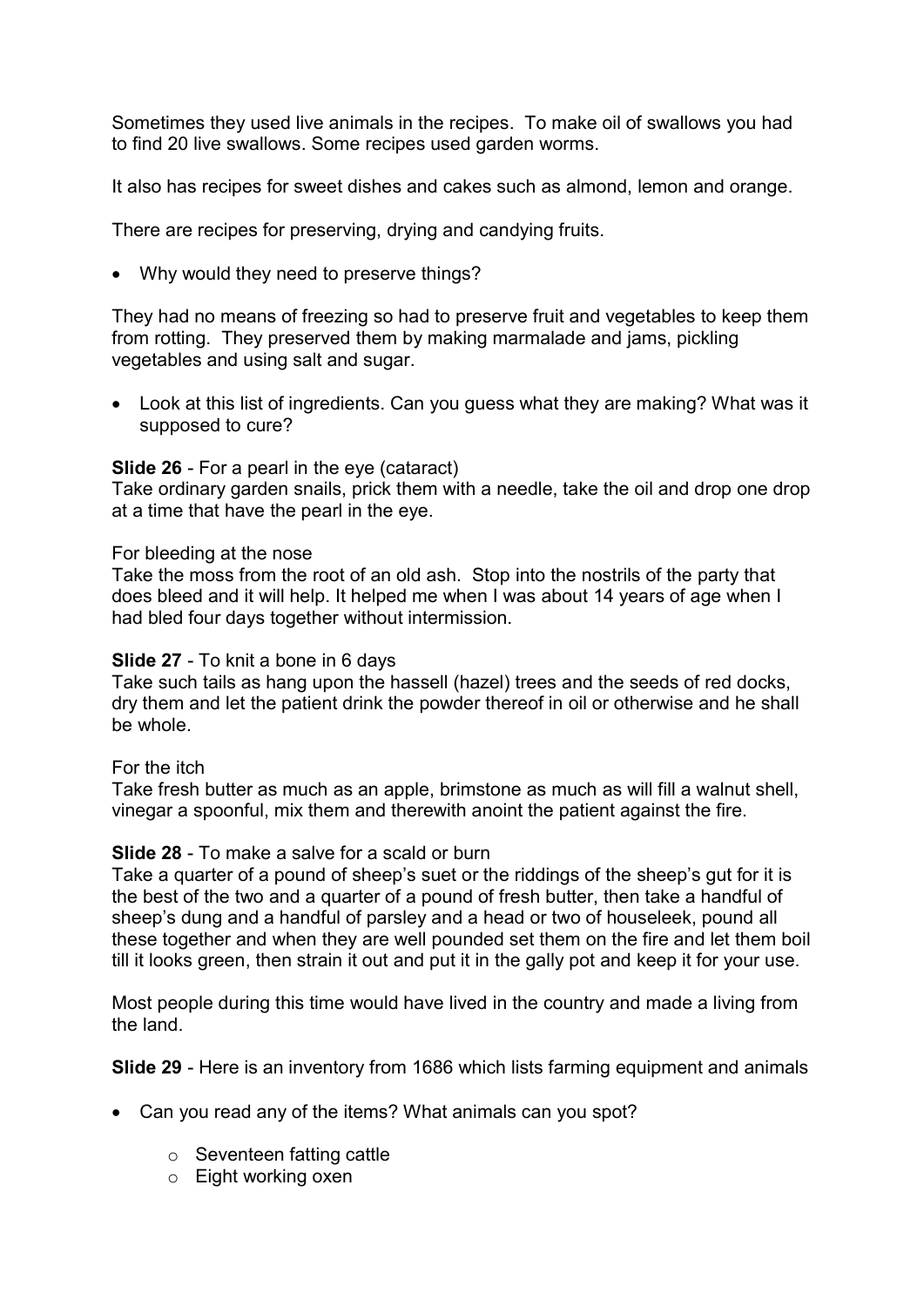Sometimes they used live animals in the recipes. To make oil of swallows you had to find 20 live swallows. Some recipes used garden worms.

It also has recipes for sweet dishes and cakes such as almond, lemon and orange.

There are recipes for preserving, drying and candying fruits.

Why would they need to preserve things?

They had no means of freezing so had to preserve fruit and vegetables to keep them from rotting. They preserved them by making marmalade and jams, pickling vegetables and using salt and sugar.

 Look at this list of ingredients. Can you guess what they are making? What was it supposed to cure?

Slide 26 - For a pearl in the eye (cataract)

Take ordinary garden snails, prick them with a needle, take the oil and drop one drop at a time that have the pearl in the eye.

#### For bleeding at the nose

Take the moss from the root of an old ash. Stop into the nostrils of the party that does bleed and it will help. It helped me when I was about 14 years of age when I had bled four days together without intermission.

#### Slide 27 - To knit a bone in 6 days

Take such tails as hang upon the hassell (hazel) trees and the seeds of red docks, dry them and let the patient drink the powder thereof in oil or otherwise and he shall be whole.

For the itch

Take fresh butter as much as an apple, brimstone as much as will fill a walnut shell, vinegar a spoonful, mix them and therewith anoint the patient against the fire.

#### Slide 28 - To make a salve for a scald or burn

Take a quarter of a pound of sheep's suet or the riddings of the sheep's gut for it is the best of the two and a quarter of a pound of fresh butter, then take a handful of sheep's dung and a handful of parsley and a head or two of houseleek, pound all these together and when they are well pounded set them on the fire and let them boil till it looks green, then strain it out and put it in the gally pot and keep it for your use.

Most people during this time would have lived in the country and made a living from the land.

Slide 29 - Here is an inventory from 1686 which lists farming equipment and animals

- Can you read any of the items? What animals can you spot?
	- o Seventeen fatting cattle
	- o Eight working oxen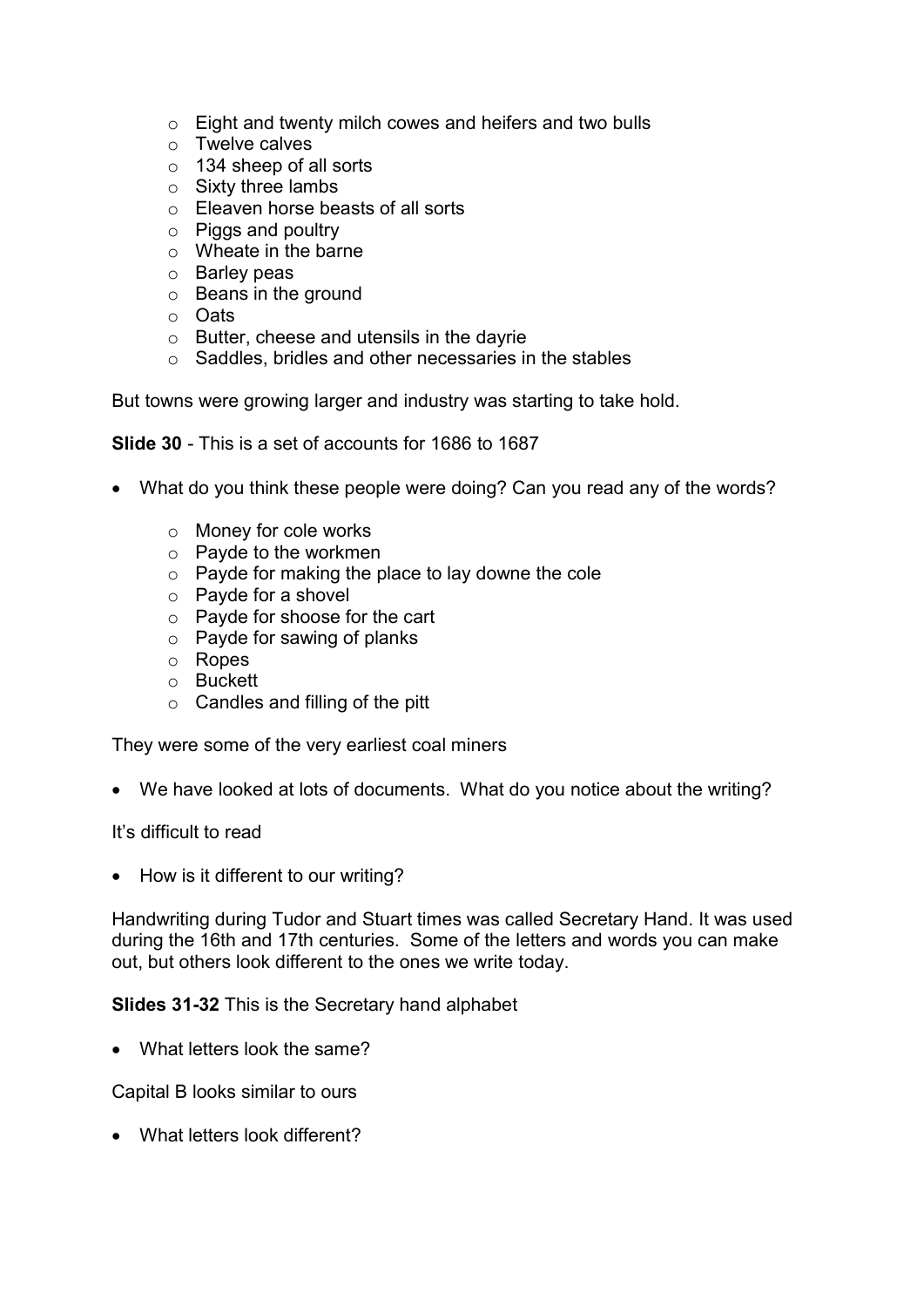- o Eight and twenty milch cowes and heifers and two bulls
- o Twelve calves
- o 134 sheep of all sorts
- o Sixty three lambs
- o Eleaven horse beasts of all sorts
- o Piggs and poultry
- o Wheate in the barne
- o Barley peas
- o Beans in the ground
- o Oats
- $\circ$  Butter, cheese and utensils in the dayrie
- o Saddles, bridles and other necessaries in the stables

But towns were growing larger and industry was starting to take hold.

```
Slide 30 - This is a set of accounts for 1686 to 1687
```
- What do you think these people were doing? Can you read any of the words?
	- o Money for cole works
	- o Payde to the workmen
	- o Payde for making the place to lay downe the cole
	- o Payde for a shovel
	- o Payde for shoose for the cart
	- o Payde for sawing of planks
	- o Ropes
	- o Buckett
	- $\circ$  Candles and filling of the pitt

They were some of the very earliest coal miners

We have looked at lots of documents. What do you notice about the writing?

It's difficult to read

• How is it different to our writing?

Handwriting during Tudor and Stuart times was called Secretary Hand. It was used during the 16th and 17th centuries. Some of the letters and words you can make out, but others look different to the ones we write today.

Slides 31-32 This is the Secretary hand alphabet

• What letters look the same?

Capital B looks similar to ours

What letters look different?